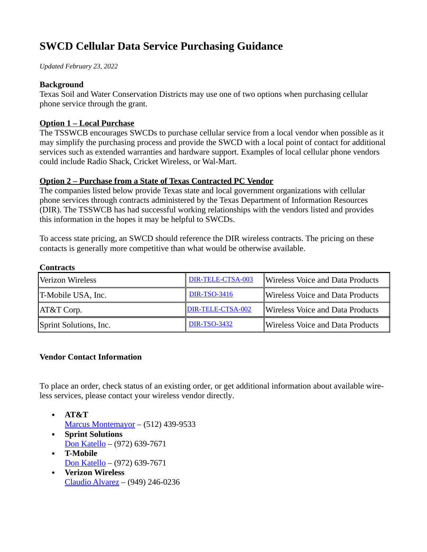# **SWCD Cellular Data Service Purchasing Guidance**

*Updated February 23, 2022*

#### **Background**

Texas Soil and Water Conservation Districts may use one of two options when purchasing cellular phone service through the grant.

## **Option 1 – Local Purchase**

The TSSWCB encourages SWCDs to purchase cellular service from a local vendor when possible as it may simplify the purchasing process and provide the SWCD with a local point of contact for additional services such as extended warranties and hardware support. Examples of local cellular phone vendors could include Radio Shack, Cricket Wireless, or Wal-Mart.

### **Option 2 – Purchase from a State of Texas Contracted PC Vendor**

The companies listed below provide Texas state and local government organizations with cellular phone services through contracts administered by the Texas Department of Information Resources (DIR). The TSSWCB has had successful working relationships with the vendors listed and provides this information in the hopes it may be helpful to SWCDs.

To access state pricing, an SWCD should reference the DIR wireless contracts. The pricing on these contacts is generally more competitive than what would be otherwise available.

#### **Contracts**

| Verizon Wireless       | DIR-TELE-CTSA-003        | Wireless Voice and Data Products |
|------------------------|--------------------------|----------------------------------|
| T-Mobile USA, Inc.     | <b>DIR-TSO-3416</b>      | Wireless Voice and Data Products |
| AT&T Corp.             | <b>DIR-TELE-CTSA-002</b> | Wireless Voice and Data Products |
| Sprint Solutions, Inc. | <b>DIR-TSO-3432</b>      | Wireless Voice and Data Products |

#### **Vendor Contact Information**

To place an order, check status of an existing order, or get additional information about available wireless services, please contact your wireless vendor directly.

- **AT&T** [Marcus Montemayor](mailto:marcus.montemayor@att.com) – (512) 439-9533
- **Sprint Solutions** [Don Katello](mailto:don.katello@t-mobile.com) – (972) 639-7671
- **T-Mobile** [Don Katello](mailto:don.katello@t-mobile.com) – (972) 639-7671
- **Verizon Wireless** [Claudio Alvarez](mailto:claudio.alvarez@verizonwireless.com) – (949) 246-0236